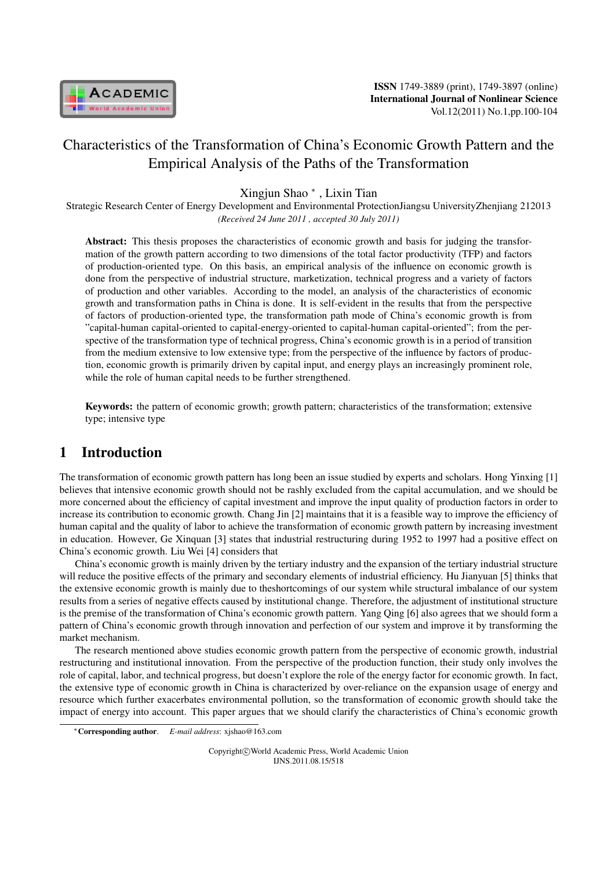

# Characteristics of the Transformation of China's Economic Growth Pattern and the Empirical Analysis of the Paths of the Transformation

Xingjun Shao *<sup>∗</sup>* , Lixin Tian

Strategic Research Center of Energy Development and Environmental ProtectionJiangsu UniversityZhenjiang 212013 *(Received 24 June 2011 , accepted 30 July 2011)*

Abstract: This thesis proposes the characteristics of economic growth and basis for judging the transformation of the growth pattern according to two dimensions of the total factor productivity (TFP) and factors of production-oriented type. On this basis, an empirical analysis of the influence on economic growth is done from the perspective of industrial structure, marketization, technical progress and a variety of factors of production and other variables. According to the model, an analysis of the characteristics of economic growth and transformation paths in China is done. It is self-evident in the results that from the perspective of factors of production-oriented type, the transformation path mode of China's economic growth is from "capital-human capital-oriented to capital-energy-oriented to capital-human capital-oriented"; from the perspective of the transformation type of technical progress, China's economic growth is in a period of transition from the medium extensive to low extensive type; from the perspective of the influence by factors of production, economic growth is primarily driven by capital input, and energy plays an increasingly prominent role, while the role of human capital needs to be further strengthened.

Keywords: the pattern of economic growth; growth pattern; characteristics of the transformation; extensive type; intensive type

### 1 Introduction

The transformation of economic growth pattern has long been an issue studied by experts and scholars. Hong Yinxing [1] believes that intensive economic growth should not be rashly excluded from the capital accumulation, and we should be more concerned about the efficiency of capital investment and improve the input quality of production factors in order to increase its contribution to economic growth. Chang Jin [2] maintains that it is a feasible way to improve the efficiency of human capital and the quality of labor to achieve the transformation of economic growth pattern by increasing investment in education. However, Ge Xinquan [3] states that industrial restructuring during 1952 to 1997 had a positive effect on China's economic growth. Liu Wei [4] considers that

China's economic growth is mainly driven by the tertiary industry and the expansion of the tertiary industrial structure will reduce the positive effects of the primary and secondary elements of industrial efficiency. Hu Jianyuan [5] thinks that the extensive economic growth is mainly due to theshortcomings of our system while structural imbalance of our system results from a series of negative effects caused by institutional change. Therefore, the adjustment of institutional structure is the premise of the transformation of China's economic growth pattern. Yang Qing [6] also agrees that we should form a pattern of China's economic growth through innovation and perfection of our system and improve it by transforming the market mechanism.

The research mentioned above studies economic growth pattern from the perspective of economic growth, industrial restructuring and institutional innovation. From the perspective of the production function, their study only involves the role of capital, labor, and technical progress, but doesn't explore the role of the energy factor for economic growth. In fact, the extensive type of economic growth in China is characterized by over-reliance on the expansion usage of energy and resource which further exacerbates environmental pollution, so the transformation of economic growth should take the impact of energy into account. This paper argues that we should clarify the characteristics of China's economic growth

Copyright*⃝*c World Academic Press, World Academic Union IJNS.2011.08.15/518

*<sup>∗</sup>*Corresponding author. *E-mail address*: xjshao@163.com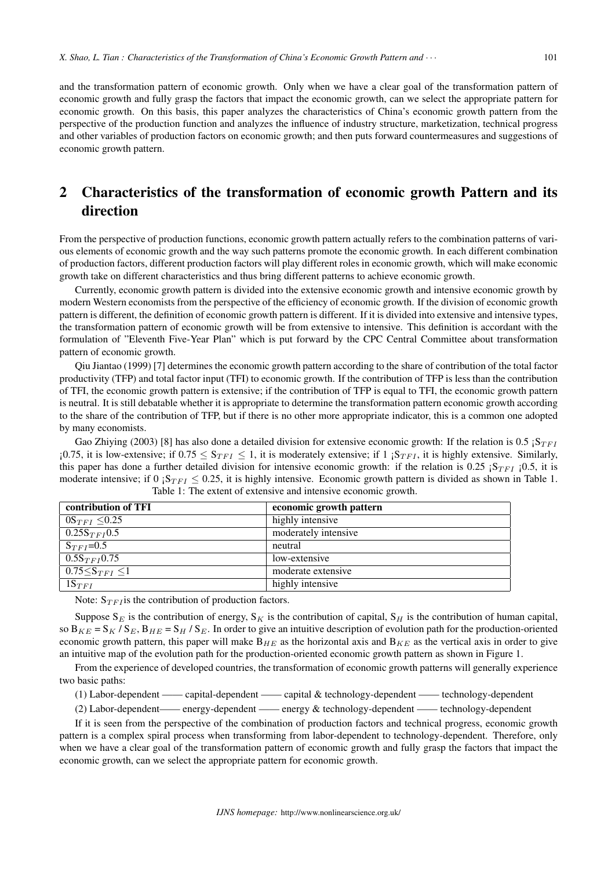and the transformation pattern of economic growth. Only when we have a clear goal of the transformation pattern of economic growth and fully grasp the factors that impact the economic growth, can we select the appropriate pattern for economic growth. On this basis, this paper analyzes the characteristics of China's economic growth pattern from the perspective of the production function and analyzes the influence of industry structure, marketization, technical progress and other variables of production factors on economic growth; and then puts forward countermeasures and suggestions of economic growth pattern.

# 2 Characteristics of the transformation of economic growth Pattern and its direction

From the perspective of production functions, economic growth pattern actually refers to the combination patterns of various elements of economic growth and the way such patterns promote the economic growth. In each different combination of production factors, different production factors will play different roles in economic growth, which will make economic growth take on different characteristics and thus bring different patterns to achieve economic growth.

Currently, economic growth pattern is divided into the extensive economic growth and intensive economic growth by modern Western economists from the perspective of the efficiency of economic growth. If the division of economic growth pattern is different, the definition of economic growth pattern is different. If it is divided into extensive and intensive types, the transformation pattern of economic growth will be from extensive to intensive. This definition is accordant with the formulation of "Eleventh Five-Year Plan" which is put forward by the CPC Central Committee about transformation pattern of economic growth.

Qiu Jiantao (1999) [7] determines the economic growth pattern according to the share of contribution of the total factor productivity (TFP) and total factor input (TFI) to economic growth. If the contribution of TFP is less than the contribution of TFI, the economic growth pattern is extensive; if the contribution of TFP is equal to TFI, the economic growth pattern is neutral. It is still debatable whether it is appropriate to determine the transformation pattern economic growth according to the share of the contribution of TFP, but if there is no other more appropriate indicator, this is a common one adopted by many economists.

Gao Zhiying (2003) [8] has also done a detailed division for extensive economic growth: If the relation is 0.5  $S_{TFI}$  $\frac{1}{10}$ .75, it is low-extensive; if 0.75 ≤  $S_{TFI}$  ≤ 1, it is moderately extensive; if 1  $\frac{1}{10}$  is highly extensive. Similarly, this paper has done a further detailed division for intensive economic growth: if the relation is 0.25  ${}_{i}S_{TFI}$   ${}_{i}$  0.5, it is moderate intensive; if 0  ${}_{i}S_{TFI} \leq 0.25$ , it is highly intensive. Economic growth pattern is divided as shown in Table 1. Table 1: The extent of extensive and intensive economic growth.

| contribution of TFI  | economic growth pattern |
|----------------------|-------------------------|
| $0S_{TFI}$ < 0.25    | highly intensive        |
| $0.25S_{TFI}0.5$     | moderately intensive    |
| $S_{TFI} = 0.5$      | neutral                 |
| $0.5S_{TFI}0.75$     | low-extensive           |
| 0.75 $S_{TFI}$ $<$ 1 | moderate extensive      |
| $1S_{TFI}$           | highly intensive        |

Note:  $S_{TFI}$  is the contribution of production factors.

Suppose  $S_E$  is the contribution of energy,  $S_K$  is the contribution of capital,  $S_H$  is the contribution of human capital, so  $B_{KE} = S_K / S_E$ ,  $B_{HE} = S_H / S_E$ . In order to give an intuitive description of evolution path for the production-oriented economic growth pattern, this paper will make  $B_{HE}$  as the horizontal axis and  $B_{KE}$  as the vertical axis in order to give an intuitive map of the evolution path for the production-oriented economic growth pattern as shown in Figure 1.

From the experience of developed countries, the transformation of economic growth patterns will generally experience two basic paths:

(1) Labor-dependent —— capital-dependent —— capital & technology-dependent —— technology-dependent

(2) Labor-dependent—— energy-dependent —— energy & technology-dependent —— technology-dependent

If it is seen from the perspective of the combination of production factors and technical progress, economic growth pattern is a complex spiral process when transforming from labor-dependent to technology-dependent. Therefore, only when we have a clear goal of the transformation pattern of economic growth and fully grasp the factors that impact the economic growth, can we select the appropriate pattern for economic growth.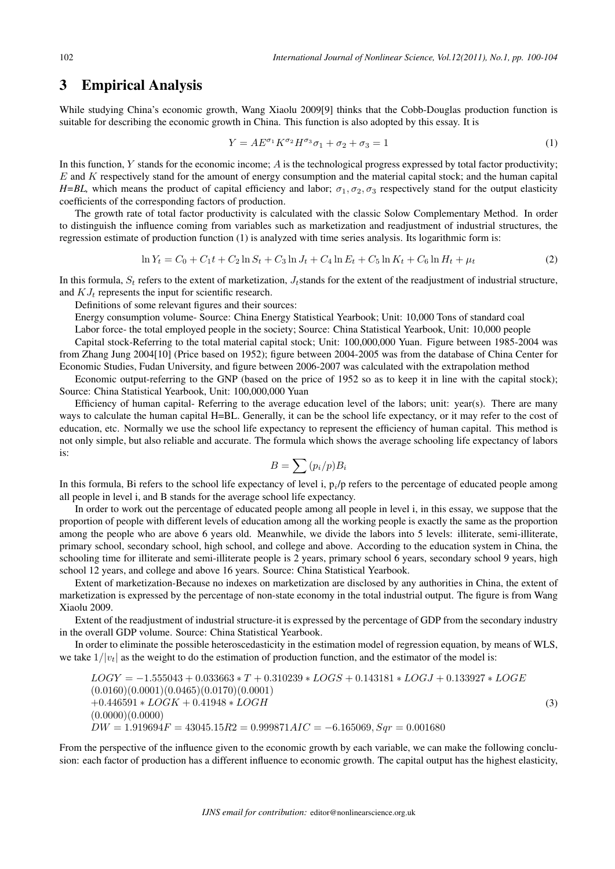#### 3 Empirical Analysis

While studying China's economic growth, Wang Xiaolu 2009[9] thinks that the Cobb-Douglas production function is suitable for describing the economic growth in China. This function is also adopted by this essay. It is

$$
Y = AE^{\sigma_1}K^{\sigma_2}H^{\sigma_3}\sigma_1 + \sigma_2 + \sigma_3 = 1\tag{1}
$$

In this function,  $Y$  stands for the economic income;  $\hat{A}$  is the technological progress expressed by total factor productivity;  $E$  and  $K$  respectively stand for the amount of energy consumption and the material capital stock; and the human capital *H=BL,* which means the product of capital efficiency and labor;  $\sigma_1$ ,  $\sigma_2$ ,  $\sigma_3$  respectively stand for the output elasticity coefficients of the corresponding factors of production.

The growth rate of total factor productivity is calculated with the classic Solow Complementary Method. In order to distinguish the influence coming from variables such as marketization and readjustment of industrial structures, the regression estimate of production function (1) is analyzed with time series analysis. Its logarithmic form is:

$$
\ln Y_t = C_0 + C_1 t + C_2 \ln S_t + C_3 \ln J_t + C_4 \ln E_t + C_5 \ln K_t + C_6 \ln H_t + \mu_t
$$
\n(2)

In this formula,  $S_t$  refers to the extent of marketization,  $J_t$  stands for the extent of the readjustment of industrial structure, and  $KJ_t$  represents the input for scientific research.

Definitions of some relevant figures and their sources:

Energy consumption volume- Source: China Energy Statistical Yearbook; Unit: 10,000 Tons of standard coal

Labor force- the total employed people in the society; Source: China Statistical Yearbook, Unit: 10,000 people

Capital stock-Referring to the total material capital stock; Unit: 100,000,000 Yuan. Figure between 1985-2004 was from Zhang Jung 2004[10] (Price based on 1952); figure between 2004-2005 was from the database of China Center for Economic Studies, Fudan University, and figure between 2006-2007 was calculated with the extrapolation method

Economic output-referring to the GNP (based on the price of 1952 so as to keep it in line with the capital stock); Source: China Statistical Yearbook, Unit: 100,000,000 Yuan

Efficiency of human capital- Referring to the average education level of the labors; unit: year(s). There are many ways to calculate the human capital H=BL. Generally, it can be the school life expectancy, or it may refer to the cost of education, etc. Normally we use the school life expectancy to represent the efficiency of human capital. This method is not only simple, but also reliable and accurate. The formula which shows the average schooling life expectancy of labors is:

$$
B=\sum{(p_i/p)B_i}
$$

In this formula, Bi refers to the school life expectancy of level i,  $p_i/p$  refers to the percentage of educated people among all people in level i, and B stands for the average school life expectancy.

In order to work out the percentage of educated people among all people in level i, in this essay, we suppose that the proportion of people with different levels of education among all the working people is exactly the same as the proportion among the people who are above 6 years old. Meanwhile, we divide the labors into 5 levels: illiterate, semi-illiterate, primary school, secondary school, high school, and college and above. According to the education system in China, the schooling time for illiterate and semi-illiterate people is 2 years, primary school 6 years, secondary school 9 years, high school 12 years, and college and above 16 years. Source: China Statistical Yearbook.

Extent of marketization-Because no indexes on marketization are disclosed by any authorities in China, the extent of marketization is expressed by the percentage of non-state economy in the total industrial output. The figure is from Wang Xiaolu 2009.

Extent of the readjustment of industrial structure-it is expressed by the percentage of GDP from the secondary industry in the overall GDP volume. Source: China Statistical Yearbook.

In order to eliminate the possible heteroscedasticity in the estimation model of regression equation, by means of WLS, we take  $1/|v_t|$  as the weight to do the estimation of production function, and the estimator of the model is:

$$
LOGY = -1.555043 + 0.033663 * T + 0.310239 * LOGS + 0.143181 * LOGJ + 0.133927 * LOGE
$$
  
(0.0160)(0.0001)(0.0465)(0.0170)(0.0001)  
+0.446591 \* LOGK + 0.41948 \* LOGH  
(0.0000)(0.0000)  
 $DW = 1.919694F = 43045.15R2 = 0.999871AIC = -6.165069, Sqr = 0.001680$  (3)

From the perspective of the influence given to the economic growth by each variable, we can make the following conclusion: each factor of production has a different influence to economic growth. The capital output has the highest elasticity,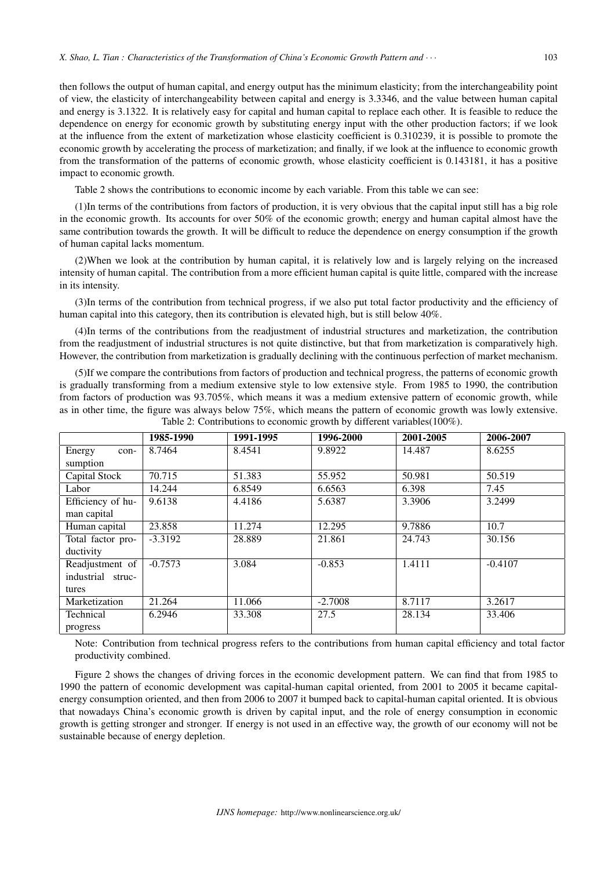then follows the output of human capital, and energy output has the minimum elasticity; from the interchangeability point of view, the elasticity of interchangeability between capital and energy is 3.3346, and the value between human capital and energy is 3.1322. It is relatively easy for capital and human capital to replace each other. It is feasible to reduce the dependence on energy for economic growth by substituting energy input with the other production factors; if we look at the influence from the extent of marketization whose elasticity coefficient is 0.310239, it is possible to promote the economic growth by accelerating the process of marketization; and finally, if we look at the influence to economic growth from the transformation of the patterns of economic growth, whose elasticity coefficient is 0.143181, it has a positive impact to economic growth.

Table 2 shows the contributions to economic income by each variable. From this table we can see:

(1)In terms of the contributions from factors of production, it is very obvious that the capital input still has a big role in the economic growth. Its accounts for over 50% of the economic growth; energy and human capital almost have the same contribution towards the growth. It will be difficult to reduce the dependence on energy consumption if the growth of human capital lacks momentum.

(2)When we look at the contribution by human capital, it is relatively low and is largely relying on the increased intensity of human capital. The contribution from a more efficient human capital is quite little, compared with the increase in its intensity.

(3)In terms of the contribution from technical progress, if we also put total factor productivity and the efficiency of human capital into this category, then its contribution is elevated high, but is still below 40%.

(4)In terms of the contributions from the readjustment of industrial structures and marketization, the contribution from the readjustment of industrial structures is not quite distinctive, but that from marketization is comparatively high. However, the contribution from marketization is gradually declining with the continuous perfection of market mechanism.

(5)If we compare the contributions from factors of production and technical progress, the patterns of economic growth is gradually transforming from a medium extensive style to low extensive style. From 1985 to 1990, the contribution from factors of production was 93.705%, which means it was a medium extensive pattern of economic growth, while as in other time, the figure was always below 75%, which means the pattern of economic growth was lowly extensive. Table 2: Contributions to economic growth by different variables(100%).

|                   | 1985-1990 | 1991-1995 | 1996-2000 | 2001-2005 | 2006-2007 |
|-------------------|-----------|-----------|-----------|-----------|-----------|
| Energy<br>con-    | 8.7464    | 8.4541    | 9.8922    | 14.487    | 8.6255    |
| sumption          |           |           |           |           |           |
| Capital Stock     | 70.715    | 51.383    | 55.952    | 50.981    | 50.519    |
| Labor             | 14.244    | 6.8549    | 6.6563    | 6.398     | 7.45      |
| Efficiency of hu- | 9.6138    | 4.4186    | 5.6387    | 3.3906    | 3.2499    |
| man capital       |           |           |           |           |           |
| Human capital     | 23.858    | 11.274    | 12.295    | 9.7886    | 10.7      |
| Total factor pro- | $-3.3192$ | 28.889    | 21.861    | 24.743    | 30.156    |
| ductivity         |           |           |           |           |           |
| Readjustment of   | $-0.7573$ | 3.084     | $-0.853$  | 1.4111    | $-0.4107$ |
| industrial struc- |           |           |           |           |           |
| tures             |           |           |           |           |           |
| Marketization     | 21.264    | 11.066    | $-2.7008$ | 8.7117    | 3.2617    |
| Technical         | 6.2946    | 33.308    | 27.5      | 28.134    | 33.406    |
| progress          |           |           |           |           |           |

Note: Contribution from technical progress refers to the contributions from human capital efficiency and total factor productivity combined.

Figure 2 shows the changes of driving forces in the economic development pattern. We can find that from 1985 to 1990 the pattern of economic development was capital-human capital oriented, from 2001 to 2005 it became capitalenergy consumption oriented, and then from 2006 to 2007 it bumped back to capital-human capital oriented. It is obvious that nowadays China's economic growth is driven by capital input, and the role of energy consumption in economic growth is getting stronger and stronger. If energy is not used in an effective way, the growth of our economy will not be sustainable because of energy depletion.